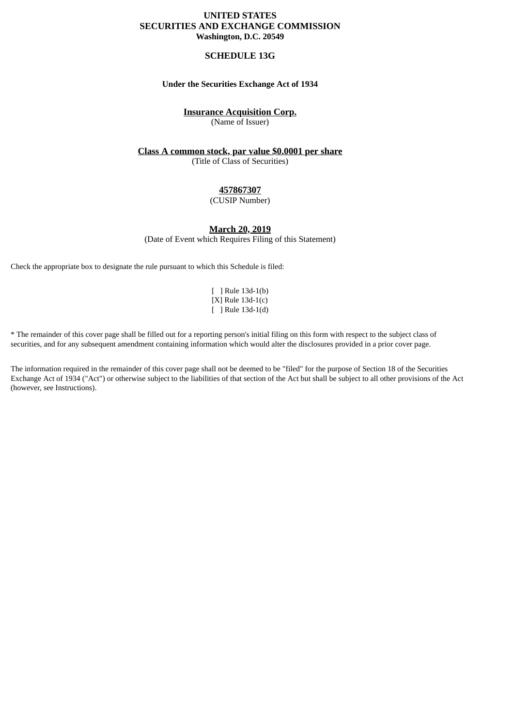# **UNITED STATES SECURITIES AND EXCHANGE COMMISSION Washington, D.C. 20549**

# **SCHEDULE 13G**

## **Under the Securities Exchange Act of 1934**

# **Insurance Acquisition Corp.**

(Name of Issuer)

# **Class A common stock, par value \$0.0001 per share**

(Title of Class of Securities)

# **457867307**

#### (CUSIP Number)

# **March 20, 2019**

(Date of Event which Requires Filing of this Statement)

Check the appropriate box to designate the rule pursuant to which this Schedule is filed:

[ ] Rule 13d-1(b) [X] Rule 13d-1(c) [ ] Rule 13d-1(d)

\* The remainder of this cover page shall be filled out for a reporting person's initial filing on this form with respect to the subject class of securities, and for any subsequent amendment containing information which would alter the disclosures provided in a prior cover page.

The information required in the remainder of this cover page shall not be deemed to be "filed" for the purpose of Section 18 of the Securities Exchange Act of 1934 ("Act") or otherwise subject to the liabilities of that section of the Act but shall be subject to all other provisions of the Act (however, see Instructions).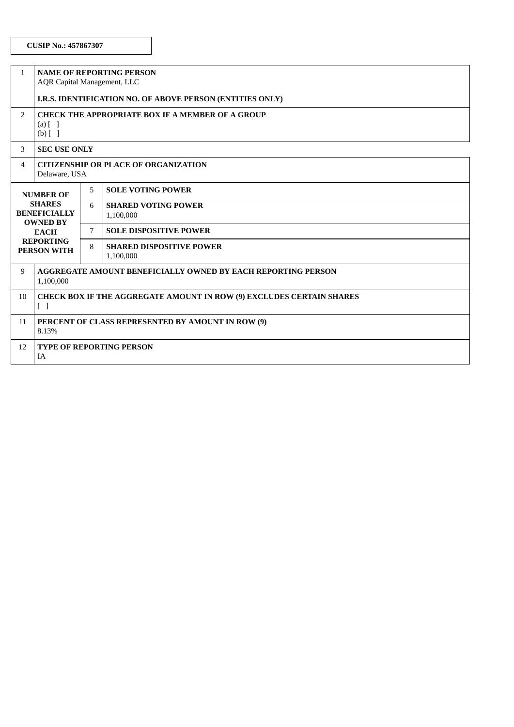| $\mathbf{1}$   | <b>NAME OF REPORTING PERSON</b><br><b>AQR Capital Management, LLC</b>                                                                |  |                                                   |  |
|----------------|--------------------------------------------------------------------------------------------------------------------------------------|--|---------------------------------------------------|--|
|                | I.R.S. IDENTIFICATION NO. OF ABOVE PERSON (ENTITIES ONLY)                                                                            |  |                                                   |  |
| 2              | CHECK THE APPROPRIATE BOX IF A MEMBER OF A GROUP<br>$(a)$ $\begin{bmatrix} 1 \end{bmatrix}$<br>$(b)$ [ ]                             |  |                                                   |  |
| 3              | <b>SEC USE ONLY</b>                                                                                                                  |  |                                                   |  |
| $\overline{4}$ | <b>CITIZENSHIP OR PLACE OF ORGANIZATION</b><br>Delaware, USA                                                                         |  |                                                   |  |
|                | <b>NUMBER OF</b><br><b>SHARES</b><br><b>BENEFICIALLY</b><br><b>OWNED BY</b><br><b>EACH</b><br><b>REPORTING</b><br><b>PERSON WITH</b> |  | <b>SOLE VOTING POWER</b>                          |  |
|                |                                                                                                                                      |  | <b>SHARED VOTING POWER</b><br>1,100,000           |  |
|                |                                                                                                                                      |  | <b>SOLE DISPOSITIVE POWER</b>                     |  |
|                |                                                                                                                                      |  | 8<br><b>SHARED DISPOSITIVE POWER</b><br>1,100,000 |  |
| 9              | AGGREGATE AMOUNT BENEFICIALLY OWNED BY EACH REPORTING PERSON<br>1,100,000                                                            |  |                                                   |  |
| 10             | <b>CHECK BOX IF THE AGGREGATE AMOUNT IN ROW (9) EXCLUDES CERTAIN SHARES</b><br>$\begin{bmatrix} 1 \end{bmatrix}$                     |  |                                                   |  |
| 11             | PERCENT OF CLASS REPRESENTED BY AMOUNT IN ROW (9)<br>8.13%                                                                           |  |                                                   |  |
| 12             | <b>TYPE OF REPORTING PERSON</b><br>IA                                                                                                |  |                                                   |  |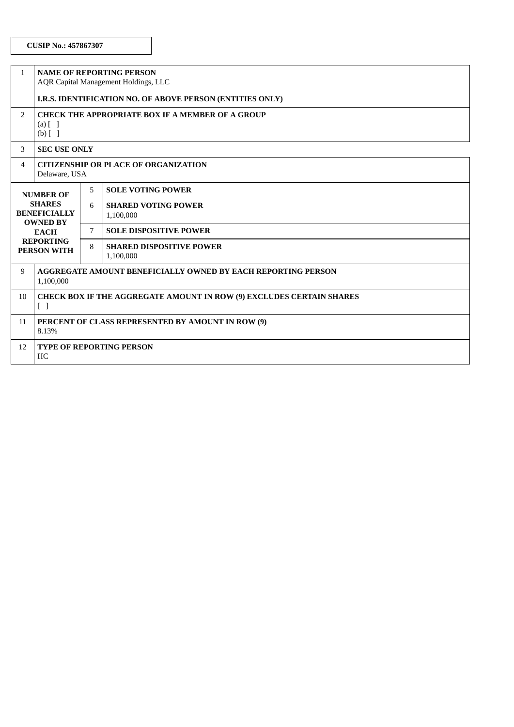| $\mathbf{1}$                                                                                                                  | <b>NAME OF REPORTING PERSON</b><br>AQR Capital Management Holdings, LLC                                        |   |                                              |  |  |
|-------------------------------------------------------------------------------------------------------------------------------|----------------------------------------------------------------------------------------------------------------|---|----------------------------------------------|--|--|
|                                                                                                                               | I.R.S. IDENTIFICATION NO. OF ABOVE PERSON (ENTITIES ONLY)                                                      |   |                                              |  |  |
| 2                                                                                                                             | <b>CHECK THE APPROPRIATE BOX IF A MEMBER OF A GROUP</b><br>$(a)$ $[$ $]$<br>$(b)$ [ ]                          |   |                                              |  |  |
| 3                                                                                                                             | <b>SEC USE ONLY</b>                                                                                            |   |                                              |  |  |
| 4                                                                                                                             | <b>CITIZENSHIP OR PLACE OF ORGANIZATION</b><br>Delaware, USA                                                   |   |                                              |  |  |
| <b>NUMBER OF</b><br><b>SHARES</b><br><b>BENEFICIALLY</b><br><b>OWNED BY</b><br><b>EACH</b><br><b>REPORTING</b><br>PERSON WITH |                                                                                                                | 5 | <b>SOLE VOTING POWER</b>                     |  |  |
|                                                                                                                               |                                                                                                                | 6 | <b>SHARED VOTING POWER</b><br>1,100,000      |  |  |
|                                                                                                                               |                                                                                                                | 7 | <b>SOLE DISPOSITIVE POWER</b>                |  |  |
|                                                                                                                               |                                                                                                                | 8 | <b>SHARED DISPOSITIVE POWER</b><br>1,100,000 |  |  |
| 9                                                                                                                             | AGGREGATE AMOUNT BENEFICIALLY OWNED BY EACH REPORTING PERSON<br>1,100,000                                      |   |                                              |  |  |
| 10                                                                                                                            | <b>CHECK BOX IF THE AGGREGATE AMOUNT IN ROW (9) EXCLUDES CERTAIN SHARES</b><br>$\begin{bmatrix} \end{bmatrix}$ |   |                                              |  |  |
| 11                                                                                                                            | PERCENT OF CLASS REPRESENTED BY AMOUNT IN ROW (9)<br>8.13%                                                     |   |                                              |  |  |
| 12                                                                                                                            | <b>TYPE OF REPORTING PERSON</b><br>HC                                                                          |   |                                              |  |  |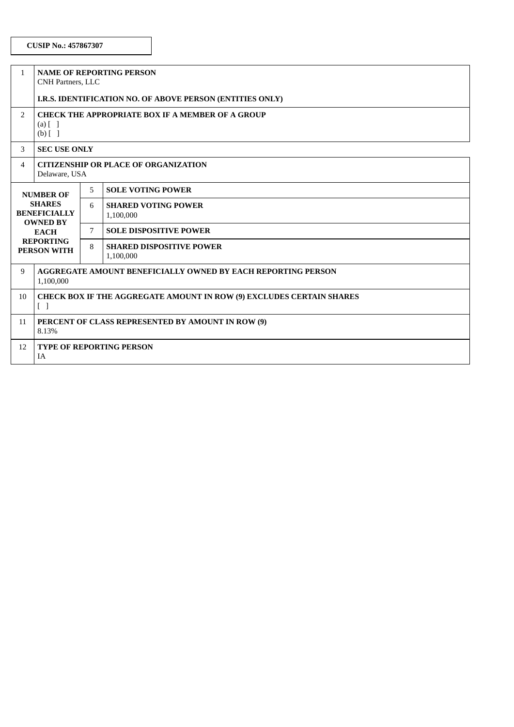| $\mathbf{1}$   | <b>NAME OF REPORTING PERSON</b><br>CNH Partners, LLC                                                                                 |  |                                                   |  |
|----------------|--------------------------------------------------------------------------------------------------------------------------------------|--|---------------------------------------------------|--|
|                | I.R.S. IDENTIFICATION NO. OF ABOVE PERSON (ENTITIES ONLY)                                                                            |  |                                                   |  |
| 2              | <b>CHECK THE APPROPRIATE BOX IF A MEMBER OF A GROUP</b><br>$(a)$ $\lceil$ $\rceil$<br>$(b)$ []                                       |  |                                                   |  |
| 3              | <b>SEC USE ONLY</b>                                                                                                                  |  |                                                   |  |
| $\overline{4}$ | <b>CITIZENSHIP OR PLACE OF ORGANIZATION</b><br>Delaware, USA                                                                         |  |                                                   |  |
|                | <b>NUMBER OF</b><br><b>SHARES</b><br><b>BENEFICIALLY</b><br><b>OWNED BY</b><br><b>EACH</b><br><b>REPORTING</b><br><b>PERSON WITH</b> |  | <b>SOLE VOTING POWER</b>                          |  |
|                |                                                                                                                                      |  | <b>SHARED VOTING POWER</b><br>1,100,000           |  |
|                |                                                                                                                                      |  | <b>SOLE DISPOSITIVE POWER</b>                     |  |
|                |                                                                                                                                      |  | 8<br><b>SHARED DISPOSITIVE POWER</b><br>1,100,000 |  |
| 9              | AGGREGATE AMOUNT BENEFICIALLY OWNED BY EACH REPORTING PERSON<br>1,100,000                                                            |  |                                                   |  |
| 10             | <b>CHECK BOX IF THE AGGREGATE AMOUNT IN ROW (9) EXCLUDES CERTAIN SHARES</b><br>$[\ ]$                                                |  |                                                   |  |
| 11             | PERCENT OF CLASS REPRESENTED BY AMOUNT IN ROW (9)<br>8.13%                                                                           |  |                                                   |  |
| 12             | <b>TYPE OF REPORTING PERSON</b><br>IA                                                                                                |  |                                                   |  |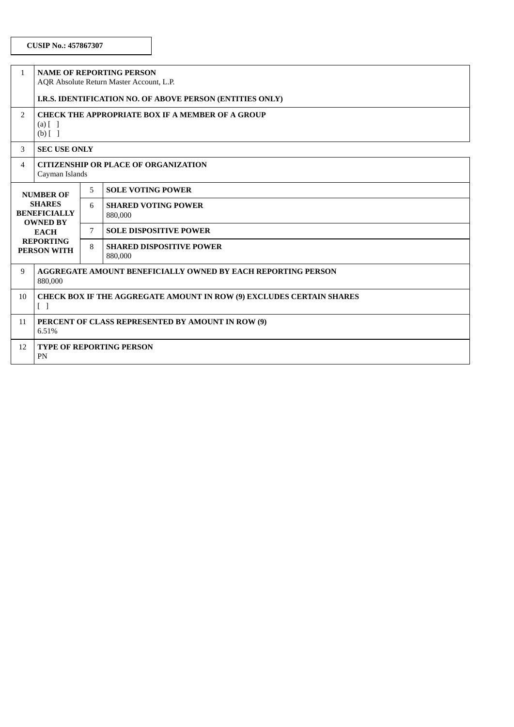| $\mathbf{1}$                                             | <b>NAME OF REPORTING PERSON</b><br>AQR Absolute Return Master Account, L.P.                                    |                                                 |                                       |  |  |  |
|----------------------------------------------------------|----------------------------------------------------------------------------------------------------------------|-------------------------------------------------|---------------------------------------|--|--|--|
|                                                          | I.R.S. IDENTIFICATION NO. OF ABOVE PERSON (ENTITIES ONLY)                                                      |                                                 |                                       |  |  |  |
| 2                                                        | CHECK THE APPROPRIATE BOX IF A MEMBER OF A GROUP<br>$(a)$ $[$ $]$<br>$(b)$ [ ]                                 |                                                 |                                       |  |  |  |
| 3                                                        | <b>SEC USE ONLY</b>                                                                                            |                                                 |                                       |  |  |  |
| $\overline{4}$                                           | <b>CITIZENSHIP OR PLACE OF ORGANIZATION</b><br>Cayman Islands                                                  |                                                 |                                       |  |  |  |
| <b>NUMBER OF</b><br><b>SHARES</b><br><b>BENEFICIALLY</b> |                                                                                                                | 5                                               | <b>SOLE VOTING POWER</b>              |  |  |  |
|                                                          |                                                                                                                | 6                                               | <b>SHARED VOTING POWER</b><br>880,000 |  |  |  |
|                                                          | <b>OWNED BY</b><br><b>EACH</b>                                                                                 |                                                 | <b>SOLE DISPOSITIVE POWER</b>         |  |  |  |
| <b>REPORTING</b><br>PERSON WITH                          |                                                                                                                | 8<br><b>SHARED DISPOSITIVE POWER</b><br>880,000 |                                       |  |  |  |
| 9                                                        | AGGREGATE AMOUNT BENEFICIALLY OWNED BY EACH REPORTING PERSON<br>880,000                                        |                                                 |                                       |  |  |  |
| 10                                                       | <b>CHECK BOX IF THE AGGREGATE AMOUNT IN ROW (9) EXCLUDES CERTAIN SHARES</b><br>$\begin{bmatrix} \end{bmatrix}$ |                                                 |                                       |  |  |  |
| 11                                                       | PERCENT OF CLASS REPRESENTED BY AMOUNT IN ROW (9)<br>6.51%                                                     |                                                 |                                       |  |  |  |
| 12                                                       | <b>TYPE OF REPORTING PERSON</b><br>PN                                                                          |                                                 |                                       |  |  |  |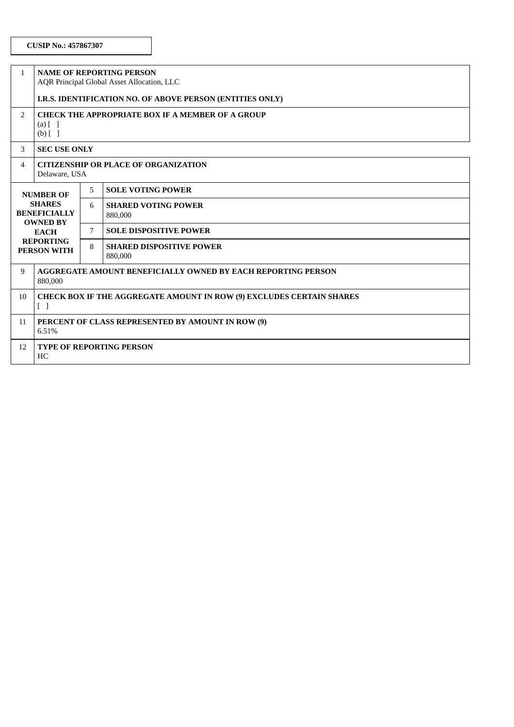| $\mathbf{1}$                                                                                                                  | <b>NAME OF REPORTING PERSON</b><br>AQR Principal Global Asset Allocation, LLC                                  |                                                 |                                       |  |
|-------------------------------------------------------------------------------------------------------------------------------|----------------------------------------------------------------------------------------------------------------|-------------------------------------------------|---------------------------------------|--|
|                                                                                                                               | I.R.S. IDENTIFICATION NO. OF ABOVE PERSON (ENTITIES ONLY)                                                      |                                                 |                                       |  |
| 2                                                                                                                             | CHECK THE APPROPRIATE BOX IF A MEMBER OF A GROUP<br>$(a)$ $[$ $]$<br>$(b)$ [ ]                                 |                                                 |                                       |  |
| 3                                                                                                                             | <b>SEC USE ONLY</b>                                                                                            |                                                 |                                       |  |
| 4                                                                                                                             | <b>CITIZENSHIP OR PLACE OF ORGANIZATION</b><br>Delaware, USA                                                   |                                                 |                                       |  |
| <b>NUMBER OF</b><br><b>SHARES</b><br><b>BENEFICIALLY</b><br><b>OWNED BY</b><br><b>EACH</b><br><b>REPORTING</b><br>PERSON WITH |                                                                                                                | 5.                                              | <b>SOLE VOTING POWER</b>              |  |
|                                                                                                                               |                                                                                                                | 6                                               | <b>SHARED VOTING POWER</b><br>880,000 |  |
|                                                                                                                               |                                                                                                                | 7                                               | <b>SOLE DISPOSITIVE POWER</b>         |  |
|                                                                                                                               |                                                                                                                | 8<br><b>SHARED DISPOSITIVE POWER</b><br>880,000 |                                       |  |
| 9                                                                                                                             | AGGREGATE AMOUNT BENEFICIALLY OWNED BY EACH REPORTING PERSON<br>880,000                                        |                                                 |                                       |  |
| 10                                                                                                                            | <b>CHECK BOX IF THE AGGREGATE AMOUNT IN ROW (9) EXCLUDES CERTAIN SHARES</b><br>$\begin{bmatrix} \end{bmatrix}$ |                                                 |                                       |  |
| 11                                                                                                                            | PERCENT OF CLASS REPRESENTED BY AMOUNT IN ROW (9)<br>6.51%                                                     |                                                 |                                       |  |
| 12                                                                                                                            | <b>TYPE OF REPORTING PERSON</b><br>HC                                                                          |                                                 |                                       |  |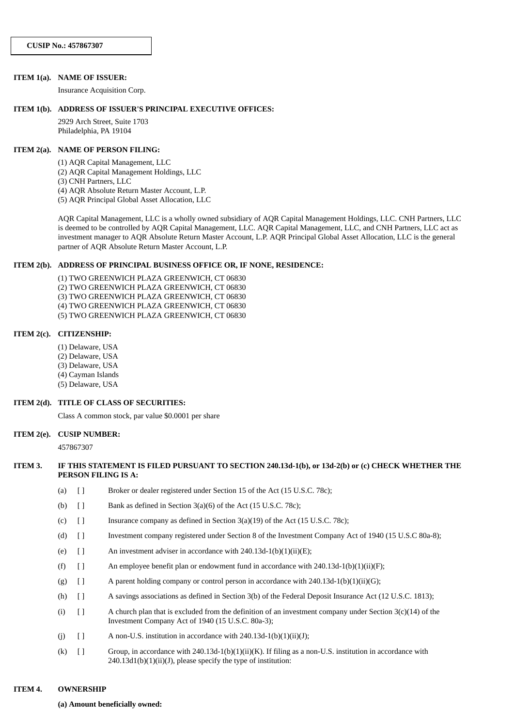#### **ITEM 1(a). NAME OF ISSUER:**

Insurance Acquisition Corp.

#### **ITEM 1(b). ADDRESS OF ISSUER'S PRINCIPAL EXECUTIVE OFFICES:**

2929 Arch Street, Suite 1703 Philadelphia, PA 19104

#### **ITEM 2(a). NAME OF PERSON FILING:**

(1) AQR Capital Management, LLC

- (2) AQR Capital Management Holdings, LLC
- (3) CNH Partners, LLC

(4) AQR Absolute Return Master Account, L.P.

(5) AQR Principal Global Asset Allocation, LLC

AQR Capital Management, LLC is a wholly owned subsidiary of AQR Capital Management Holdings, LLC. CNH Partners, LLC is deemed to be controlled by AQR Capital Management, LLC. AQR Capital Management, LLC, and CNH Partners, LLC act as investment manager to AQR Absolute Return Master Account, L.P. AQR Principal Global Asset Allocation, LLC is the general partner of AQR Absolute Return Master Account, L.P.

#### **ITEM 2(b). ADDRESS OF PRINCIPAL BUSINESS OFFICE OR, IF NONE, RESIDENCE:**

(1) TWO GREENWICH PLAZA GREENWICH, CT 06830 (2) TWO GREENWICH PLAZA GREENWICH, CT 06830

(3) TWO GREENWICH PLAZA GREENWICH, CT 06830

(4) TWO GREENWICH PLAZA GREENWICH, CT 06830

(5) TWO GREENWICH PLAZA GREENWICH, CT 06830

#### **ITEM 2(c). CITIZENSHIP:**

- (1) Delaware, USA
- (2) Delaware, USA
- (3) Delaware, USA
- (4) Cayman Islands
- (5) Delaware, USA

#### **ITEM 2(d). TITLE OF CLASS OF SECURITIES:**

Class A common stock, par value \$0.0001 per share

#### **ITEM 2(e). CUSIP NUMBER:**

457867307

#### ITEM 3. IF THIS STATEMENT IS FILED PURSUANT TO SECTION 240.13d-1(b), or 13d-2(b) or (c) CHECK WHETHER THE **PERSON FILING IS A:**

- (a) [ ] Broker or dealer registered under Section 15 of the Act (15 U.S.C. 78c);
- (b)  $\left[ \right]$  Bank as defined in Section 3(a)(6) of the Act (15 U.S.C. 78c);
- (c)  $\begin{bmatrix} \end{bmatrix}$  Insurance company as defined in Section 3(a)(19) of the Act (15 U.S.C. 78c);
- (d) [ ] Investment company registered under Section 8 of the Investment Company Act of 1940 (15 U.S.C 80a-8);
- (e)  $\left[ \right]$  An investment adviser in accordance with 240.13d-1(b)(1)(ii)(E);
- (f)  $\left[ \right]$  An employee benefit plan or endowment fund in accordance with 240.13d-1(b)(1)(ii)(F);
- (g)  $\left[ \right]$  A parent holding company or control person in accordance with 240.13d-1(b)(1)(ii)(G);
- (h) [ ] A savings associations as defined in Section 3(b) of the Federal Deposit Insurance Act (12 U.S.C. 1813);
- (i)  $[$  ] A church plan that is excluded from the definition of an investment company under Section 3(c)(14) of the Investment Company Act of 1940 (15 U.S.C. 80a-3);
- (j)  $[$  ] A non-U.S. institution in accordance with 240.13d-1(b)(1)(ii)(J);
- (k)  $\left[ \right]$  Group, in accordance with 240.13d-1(b)(1)(ii)(K). If filing as a non-U.S. institution in accordance with  $240.13d1(b)(1)(ii)(J)$ , please specify the type of institution:

#### **ITEM 4. OWNERSHIP**

**(a) Amount beneficially owned:**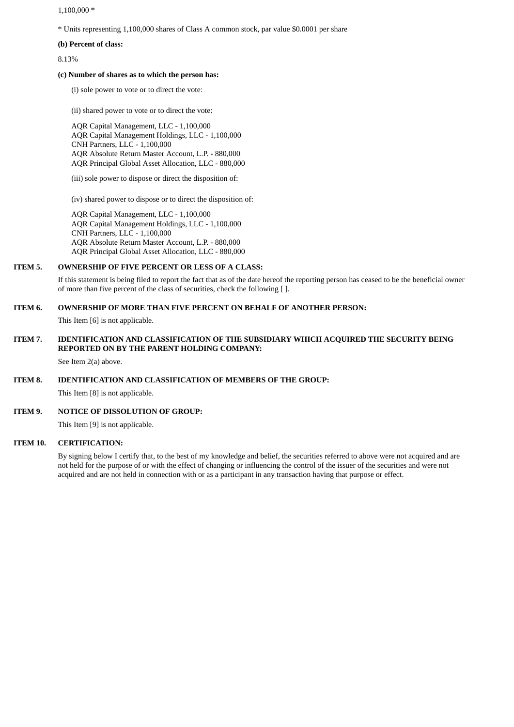$1,100,000*$ 

\* Units representing 1,100,000 shares of Class A common stock, par value \$0.0001 per share

**(b) Percent of class:**

8.13%

#### **(c) Number of shares as to which the person has:**

(i) sole power to vote or to direct the vote:

(ii) shared power to vote or to direct the vote:

AQR Capital Management, LLC - 1,100,000 AQR Capital Management Holdings, LLC - 1,100,000 CNH Partners, LLC - 1,100,000 AQR Absolute Return Master Account, L.P. - 880,000 AQR Principal Global Asset Allocation, LLC - 880,000

(iii) sole power to dispose or direct the disposition of:

(iv) shared power to dispose or to direct the disposition of:

AQR Capital Management, LLC - 1,100,000 AQR Capital Management Holdings, LLC - 1,100,000 CNH Partners, LLC - 1,100,000 AQR Absolute Return Master Account, L.P. - 880,000 AQR Principal Global Asset Allocation, LLC - 880,000

#### **ITEM 5. OWNERSHIP OF FIVE PERCENT OR LESS OF A CLASS:**

If this statement is being filed to report the fact that as of the date hereof the reporting person has ceased to be the beneficial owner of more than five percent of the class of securities, check the following [ ].

# **ITEM 6. OWNERSHIP OF MORE THAN FIVE PERCENT ON BEHALF OF ANOTHER PERSON:**

This Item [6] is not applicable.

# **ITEM 7. IDENTIFICATION AND CLASSIFICATION OF THE SUBSIDIARY WHICH ACQUIRED THE SECURITY BEING REPORTED ON BY THE PARENT HOLDING COMPANY:**

See Item 2(a) above.

#### **ITEM 8. IDENTIFICATION AND CLASSIFICATION OF MEMBERS OF THE GROUP:**

This Item [8] is not applicable.

## **ITEM 9. NOTICE OF DISSOLUTION OF GROUP:**

This Item [9] is not applicable.

#### **ITEM 10. CERTIFICATION:**

By signing below I certify that, to the best of my knowledge and belief, the securities referred to above were not acquired and are not held for the purpose of or with the effect of changing or influencing the control of the issuer of the securities and were not acquired and are not held in connection with or as a participant in any transaction having that purpose or effect.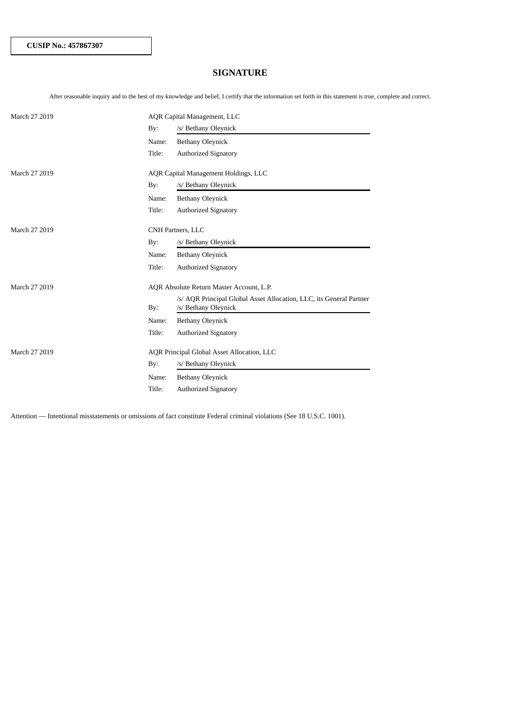# **SIGNATURE**

After reasonable inquiry and to the best of my knowledge and belief, I certify that the information set forth in this statement is true, complete and correct.

| March 27 2019 | AQR Capital Management, LLC |                                                                                             |  |
|---------------|-----------------------------|---------------------------------------------------------------------------------------------|--|
|               | By:                         | /s/ Bethany Oleynick                                                                        |  |
|               | Name:                       | <b>Bethany Oleynick</b>                                                                     |  |
|               | Title:                      | <b>Authorized Signatory</b>                                                                 |  |
| March 27 2019 |                             | AQR Capital Management Holdings, LLC                                                        |  |
|               |                             | /s/ Bethany Oleynick                                                                        |  |
|               | By:                         |                                                                                             |  |
|               | Name:                       | <b>Bethany Oleynick</b>                                                                     |  |
|               | Title:                      | <b>Authorized Signatory</b>                                                                 |  |
| March 27 2019 |                             | CNH Partners, LLC                                                                           |  |
|               | By:                         | /s/ Bethany Oleynick                                                                        |  |
|               | Name:                       | <b>Bethany Oleynick</b>                                                                     |  |
|               | Title:                      | <b>Authorized Signatory</b>                                                                 |  |
| March 27 2019 |                             | AQR Absolute Return Master Account, L.P.                                                    |  |
|               | By:                         | /s/ AQR Principal Global Asset Allocation, LLC, its General Partner<br>/s/ Bethany Oleynick |  |
|               | Name:                       | <b>Bethany Oleynick</b>                                                                     |  |
|               | Title:                      | <b>Authorized Signatory</b>                                                                 |  |
| March 27 2019 |                             | AQR Principal Global Asset Allocation, LLC                                                  |  |
|               | By:                         | /s/ Bethany Oleynick                                                                        |  |
|               | Name:                       | <b>Bethany Oleynick</b>                                                                     |  |
|               | Title:                      | <b>Authorized Signatory</b>                                                                 |  |

Attention — Intentional misstatements or omissions of fact constitute Federal criminal violations (See 18 U.S.C. 1001).